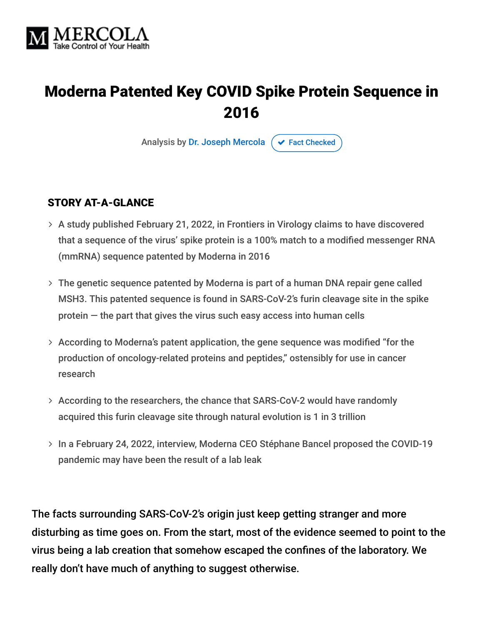

## Moderna Patented Key COVID Spike Protein Sequence in 2016

Analysis by [Dr. Joseph Mercola](https://www.mercola.com/forms/background.htm)  $\sigma$  [Fact Checked](javascript:void(0))

#### STORY AT-A-GLANCE

- A study published February 21, 2022, in Frontiers in Virology claims to have discovered that a sequence of the virus' spike protein is a 100% match to a modified messenger RNA (mmRNA) sequence patented by Moderna in 2016
- The genetic sequence patented by Moderna is part of a human DNA repair gene called MSH3. This patented sequence is found in SARS-CoV-2's furin cleavage site in the spike protein — the part that gives the virus such easy access into human cells
- According to Moderna's patent application, the gene sequence was modified "for the production of oncology-related proteins and peptides," ostensibly for use in cancer research
- According to the researchers, the chance that SARS-CoV-2 would have randomly acquired this furin cleavage site through natural evolution is 1 in 3 trillion
- > In a February 24, 2022, interview, Moderna CEO Stéphane Bancel proposed the COVID-19 pandemic may have been the result of a lab leak

The facts surrounding SARS-CoV-2's origin just keep getting stranger and more disturbing as time goes on. From the start, most of the evidence seemed to point to the virus being a lab creation that somehow escaped the confines of the laboratory. We really don't have much of anything to suggest otherwise.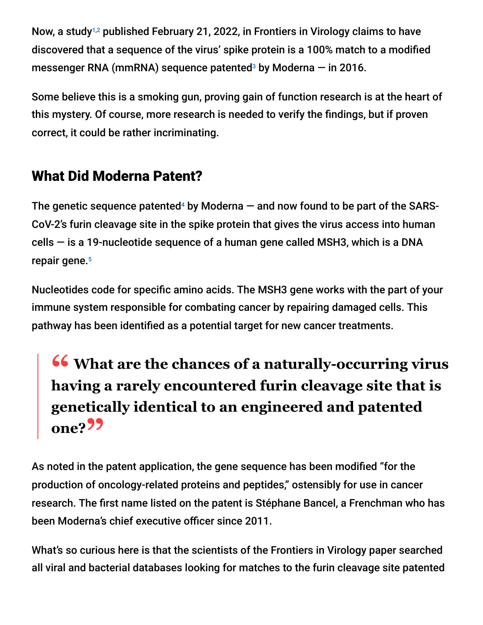Now, a study<sup>1,2</sup> published February 21, 2022, in Frontiers in Virology claims to have discovered that a sequence of the virus' spike protein is a 100% match to a modified messenger RNA (mmRNA) sequence patented<sup>3</sup> by Moderna  $-$  in 2016.

Some believe this is a smoking gun, proving gain of function research is at the heart of this mystery. Of course, more research is needed to verify the findings, but if proven correct, it could be rather incriminating.

### What Did Moderna Patent?

The genetic sequence patented<sup>4</sup> by Moderna  $-$  and now found to be part of the SARS-CoV-2's furin cleavage site in the spike protein that gives the virus access into human cells — is a 19-nucleotide sequence of a human gene called MSH3, which is a DNA repair gene. 5

Nucleotides code for specific amino acids. The MSH3 gene works with the part of your immune system responsible for combating cancer by repairing damaged cells. This pathway has been identified as a potential target for new cancer treatments.

# **<sup>66</sup>** What are the chances of a naturally-occurring virus **belocity**<br>having a rarely encountered furin cleavage site that is **having a rarely encountered furin cleavage site that is genetically identical to an engineered and patented one?"**

As noted in the patent application, the gene sequence has been modified "for the production of oncology-related proteins and peptides," ostensibly for use in cancer research. The first name listed on the patent is Stéphane Bancel, a Frenchman who has been Moderna's chief executive officer since 2011.

What's so curious here is that the scientists of the Frontiers in Virology paper searched all viral and bacterial databases looking for matches to the furin cleavage site patented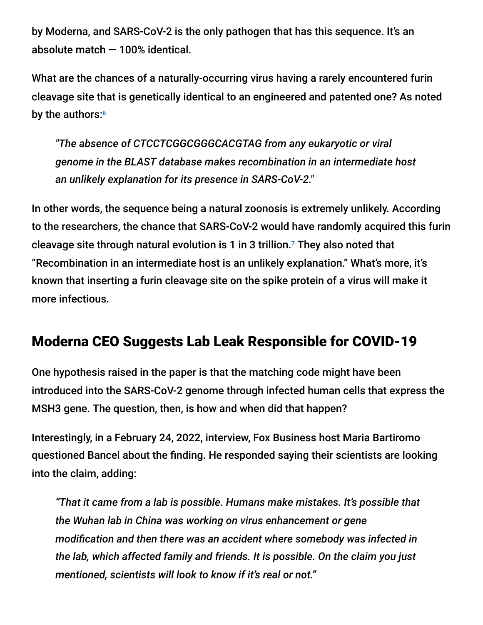by Moderna, and SARS-CoV-2 is the only pathogen that has this sequence. It's an absolute match — 100% identical.

What are the chances of a naturally-occurring virus having a rarely encountered furin cleavage site that is genetically identical to an engineered and patented one? As noted by the authors: 6

*"The absence of CTCCTCGGCGGGCACGTAG from any eukaryotic or viral genome in the BLAST database makes recombination in an intermediate host an unlikely explanation for its presence in SARS-CoV-2."*

In other words, the sequence being a natural zoonosis is extremely unlikely. According to the researchers, the chance that SARS-CoV-2 would have randomly acquired this furin cleavage site through natural evolution is 1 in 3 trillion.<sup>7</sup> They also noted that "Recombination in an intermediate host is an unlikely explanation." What's more, it's known that inserting a furin cleavage site on the spike protein of a virus will make it more infectious.

### Moderna CEO Suggests Lab Leak Responsible for COVID-19

One hypothesis raised in the paper is that the matching code might have been introduced into the SARS-CoV-2 genome through infected human cells that express the MSH3 gene. The question, then, is how and when did that happen?

Interestingly, in a February 24, 2022, interview, Fox Business host Maria Bartiromo questioned Bancel about the finding. He responded saying their scientists are looking into the claim, adding:

*"That it came from a lab is possible. Humans make mistakes. It's possible that the Wuhan lab in China was working on virus enhancement or gene modification and then there was an accident where somebody was infected in the lab, which affected family and friends. It is possible. On the claim you just mentioned, scientists will look to know if it's real or not."*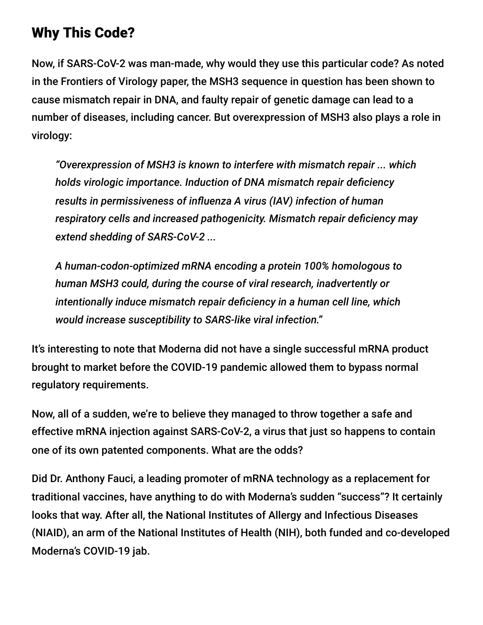### Why This Code?

Now, if SARS-CoV-2 was man-made, why would they use this particular code? As noted in the Frontiers of Virology paper, the MSH3 sequence in question has been shown to cause mismatch repair in DNA, and faulty repair of genetic damage can lead to a number of diseases, including cancer. But overexpression of MSH3 also plays a role in virology:

*"Overexpression of MSH3 is known to interfere with mismatch repair ... which holds virologic importance. Induction of DNA mismatch repair deficiency results in permissiveness of influenza A virus (IAV) infection of human respiratory cells and increased pathogenicity. Mismatch repair deficiency may extend shedding of SARS-CoV-2 ...*

*A human-codon-optimized mRNA encoding a protein 100% homologous to human MSH3 could, during the course of viral research, inadvertently or intentionally induce mismatch repair deficiency in a human cell line, which would increase susceptibility to SARS-like viral infection."*

It's interesting to note that Moderna did not have a single successful mRNA product brought to market before the COVID-19 pandemic allowed them to bypass normal regulatory requirements.

Now, all of a sudden, we're to believe they managed to throw together a safe and effective mRNA injection against SARS-CoV-2, a virus that just so happens to contain one of its own patented components. What are the odds?

Did Dr. Anthony Fauci, a leading promoter of mRNA technology as a replacement for traditional vaccines, have anything to do with Moderna's sudden "success"? It certainly looks that way. After all, the National Institutes of Allergy and Infectious Diseases (NIAID), an arm of the National Institutes of Health (NIH), both funded and co-developed Moderna's COVID-19 jab.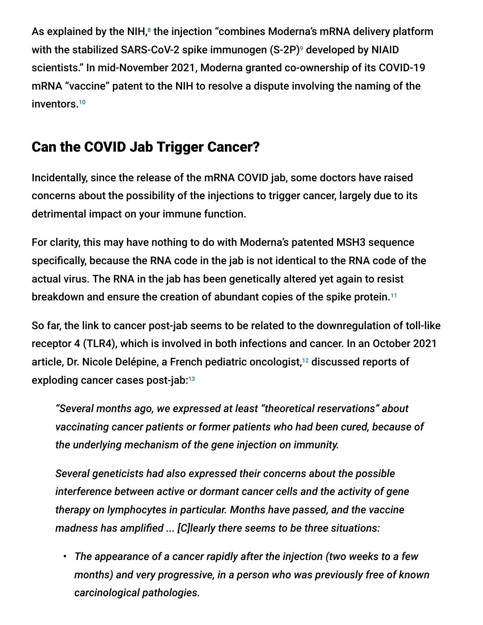As explained by the NIH, $^8$  the injection "combines Moderna's mRNA delivery platform with the stabilized SARS-CoV-2 spike immunogen  $(\mathsf{S}\text{-}\mathsf{2}\mathsf{P})^\mathsf{g}$  developed by NIAID scientists." In mid-November 2021, Moderna granted co-ownership of its COVID-19 mRNA "vaccine" patent to the NIH to resolve a dispute involving the naming of the inventors. 10

### Can the COVID Jab Trigger Cancer?

Incidentally, since the release of the mRNA COVID jab, some doctors have raised concerns about the possibility of the injections to trigger cancer, largely due to its detrimental impact on your immune function.

For clarity, this may have nothing to do with Moderna's patented MSH3 sequence specifically, because the RNA code in the jab is not identical to the RNA code of the actual virus. The RNA in the jab has been genetically altered yet again to resist breakdown and ensure the creation of abundant copies of the spike protein.<sup>11</sup>

So far, the link to cancer post-jab seems to be related to the downregulation of toll-like receptor 4 (TLR4), which is involved in both infections and cancer. In an October 2021 article, Dr. Nicole Delépine, a French pediatric oncologist, $^{12}$  discussed reports of exploding cancer cases post-jab: 13

*"Several months ago, we expressed at least "theoretical reservations" about vaccinating cancer patients or former patients who had been cured, because of the underlying mechanism of the gene injection on immunity.*

*Several geneticists had also expressed their concerns about the possible interference between active or dormant cancer cells and the activity of gene therapy on lymphocytes in particular. Months have passed, and the vaccine madness has amplified ... [C]learly there seems to be three situations:*

• *The appearance of a cancer rapidly after the injection (two weeks to a few months) and very progressive, in a person who was previously free of known carcinological pathologies.*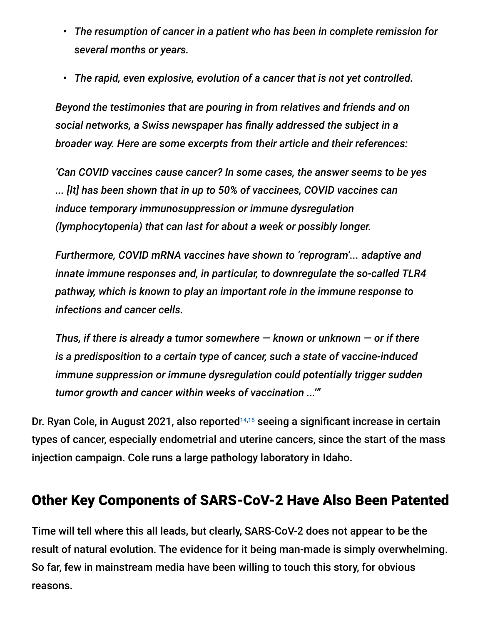- *The resumption of cancer in a patient who has been in complete remission for several months or years.*
- *The rapid, even explosive, evolution of a cancer that is not yet controlled.*

*Beyond the testimonies that are pouring in from relatives and friends and on social networks, a Swiss newspaper has finally addressed the subject in a broader way. Here are some excerpts from their article and their references:*

*'Can COVID vaccines cause cancer? In some cases, the answer seems to be yes ... [It] has been shown that in up to 50% of vaccinees, COVID vaccines can induce temporary immunosuppression or immune dysregulation (lymphocytopenia) that can last for about a week or possibly longer.*

*Furthermore, COVID mRNA vaccines have shown to 'reprogram'... adaptive and innate immune responses and, in particular, to downregulate the so-called TLR4 pathway, which is known to play an important role in the immune response to infections and cancer cells.*

*Thus, if there is already a tumor somewhere — known or unknown — or if there is a predisposition to a certain type of cancer, such a state of vaccine-induced immune suppression or immune dysregulation could potentially trigger sudden tumor growth and cancer within weeks of vaccination ...'"*

Dr. Ryan Cole, in August 2021, also reported<sup>14,15</sup> seeing a significant increase in certain types of cancer, especially endometrial and uterine cancers, since the start of the mass injection campaign. Cole runs a large pathology laboratory in Idaho.

### Other Key Components of SARS-CoV-2 Have Also Been Patented

Time will tell where this all leads, but clearly, SARS-CoV-2 does not appear to be the result of natural evolution. The evidence for it being man-made is simply overwhelming. So far, few in mainstream media have been willing to touch this story, for obvious reasons.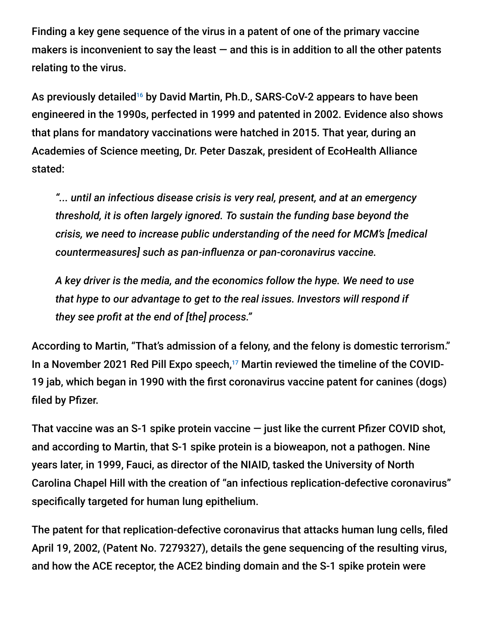Finding a key gene sequence of the virus in a patent of one of the primary vaccine makers is inconvenient to say the least  $-$  and this is in addition to all the other patents relating to the virus.

As previously detailed<sup>16</sup> by David Martin, Ph.D., SARS-CoV-2 appears to have been engineered in the 1990s, perfected in 1999 and patented in 2002. Evidence also shows that plans for mandatory vaccinations were hatched in 2015. That year, during an Academies of Science meeting, Dr. Peter Daszak, president of EcoHealth Alliance stated:

*"... until an infectious disease crisis is very real, present, and at an emergency threshold, it is often largely ignored. To sustain the funding base beyond the crisis, we need to increase public understanding of the need for MCM's [medical countermeasures] such as pan-influenza or pan-coronavirus vaccine.*

*A key driver is the media, and the economics follow the hype. We need to use that hype to our advantage to get to the real issues. Investors will respond if they see profit at the end of [the] process."*

According to Martin, "That's admission of a felony, and the felony is domestic terrorism." In a November 2021 Red Pill Expo speech, $17$  Martin reviewed the timeline of the COVID-19 jab, which began in 1990 with the first coronavirus vaccine patent for canines (dogs) filed by Pfizer.

That vaccine was an S-1 spike protein vaccine  $-$  just like the current Pfizer COVID shot, and according to Martin, that S-1 spike protein is a bioweapon, not a pathogen. Nine years later, in 1999, Fauci, as director of the NIAID, tasked the University of North Carolina Chapel Hill with the creation of "an infectious replication-defective coronavirus" specifically targeted for human lung epithelium.

The patent for that replication-defective coronavirus that attacks human lung cells, filed April 19, 2002, (Patent No. 7279327), details the gene sequencing of the resulting virus, and how the ACE receptor, the ACE2 binding domain and the S-1 spike protein were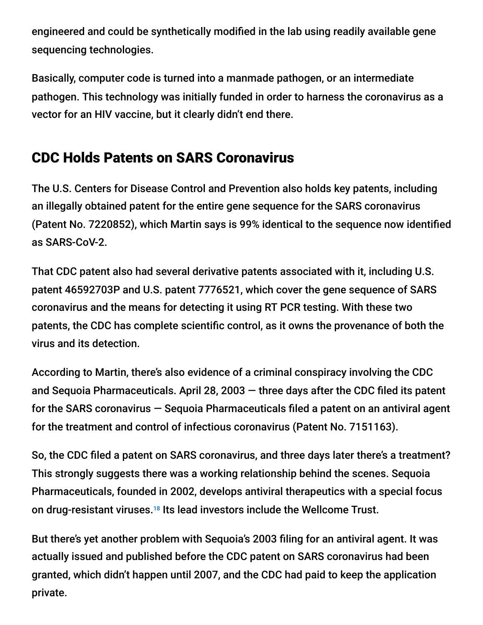engineered and could be synthetically modified in the lab using readily available gene sequencing technologies.

Basically, computer code is turned into a manmade pathogen, or an intermediate pathogen. This technology was initially funded in order to harness the coronavirus as a vector for an HIV vaccine, but it clearly didn't end there.

## CDC Holds Patents on SARS Coronavirus

The U.S. Centers for Disease Control and Prevention also holds key patents, including an illegally obtained patent for the entire gene sequence for the SARS coronavirus (Patent No. 7220852), which Martin says is 99% identical to the sequence now identified as SARS-CoV-2.

That CDC patent also had several derivative patents associated with it, including U.S. patent 46592703P and U.S. patent 7776521, which cover the gene sequence of SARS coronavirus and the means for detecting it using RT PCR testing. With these two patents, the CDC has complete scientific control, as it owns the provenance of both the virus and its detection.

According to Martin, there's also evidence of a criminal conspiracy involving the CDC and Sequoia Pharmaceuticals. April 28, 2003  $-$  three days after the CDC filed its patent for the SARS coronavirus — Sequoia Pharmaceuticals filed a patent on an antiviral agent for the treatment and control of infectious coronavirus (Patent No. 7151163).

So, the CDC filed a patent on SARS coronavirus, and three days later there's a treatment? This strongly suggests there was a working relationship behind the scenes. Sequoia Pharmaceuticals, founded in 2002, develops antiviral therapeutics with a special focus on drug-resistant viruses.<sup>18</sup> Its lead investors include the Wellcome Trust.

But there's yet another problem with Sequoia's 2003 filing for an antiviral agent. It was actually issued and published before the CDC patent on SARS coronavirus had been granted, which didn't happen until 2007, and the CDC had paid to keep the application private.